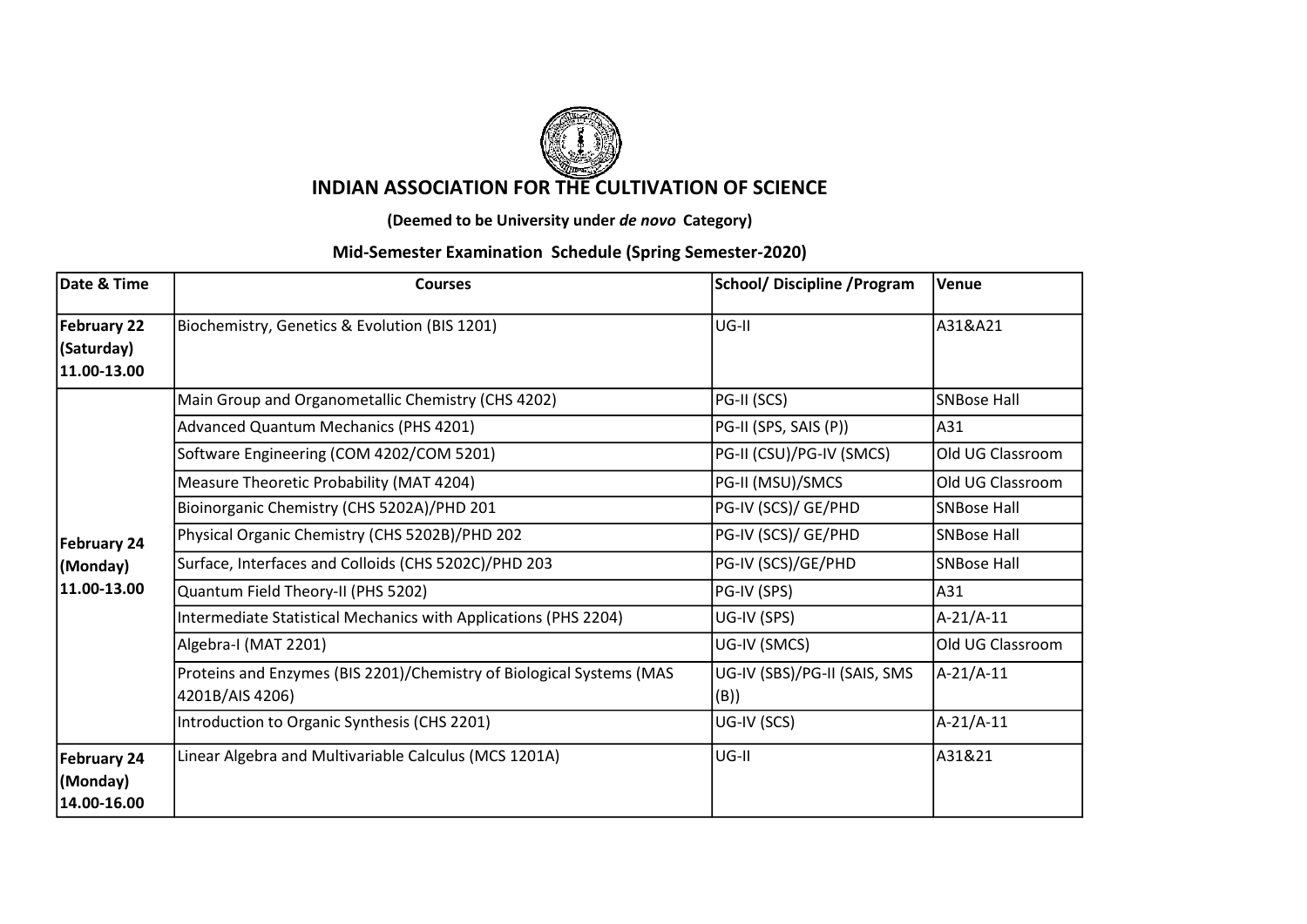

## INDIAN ASSOCIATION FOR THE CULTIVATION OF SCIENCE

(Deemed to be University under de novo Category)

## Mid-Semester Examination Schedule (Spring Semester-2020)

| Date & Time                                     | <b>Courses</b>                                                                          | <b>School/ Discipline / Program</b>  | Venue              |
|-------------------------------------------------|-----------------------------------------------------------------------------------------|--------------------------------------|--------------------|
| <b>February 22</b><br>(Saturday)<br>11.00-13.00 | Biochemistry, Genetics & Evolution (BIS 1201)                                           | $UG-II$                              | A31&A21            |
| February 24<br>(Monday)                         | Main Group and Organometallic Chemistry (CHS 4202)                                      | PG-II (SCS)                          | <b>SNBose Hall</b> |
|                                                 | Advanced Quantum Mechanics (PHS 4201)                                                   | PG-II (SPS, SAIS (P))                | A31                |
|                                                 | Software Engineering (COM 4202/COM 5201)                                                | PG-II (CSU)/PG-IV (SMCS)             | Old UG Classroom   |
|                                                 | Measure Theoretic Probability (MAT 4204)                                                | PG-II (MSU)/SMCS                     | Old UG Classroom   |
|                                                 | Bioinorganic Chemistry (CHS 5202A)/PHD 201                                              | PG-IV (SCS)/ GE/PHD                  | <b>SNBose Hall</b> |
|                                                 | Physical Organic Chemistry (CHS 5202B)/PHD 202                                          | PG-IV (SCS)/ GE/PHD                  | <b>SNBose Hall</b> |
|                                                 | Surface, Interfaces and Colloids (CHS 5202C)/PHD 203                                    | PG-IV (SCS)/GE/PHD                   | <b>SNBose Hall</b> |
| 11.00-13.00                                     | Quantum Field Theory-II (PHS 5202)                                                      | PG-IV (SPS)                          | A31                |
|                                                 | Intermediate Statistical Mechanics with Applications (PHS 2204)                         | UG-IV (SPS)                          | A-21/A-11          |
|                                                 | Algebra-I (MAT 2201)                                                                    | UG-IV (SMCS)                         | Old UG Classroom   |
|                                                 | Proteins and Enzymes (BIS 2201)/Chemistry of Biological Systems (MAS<br>4201B/AIS 4206) | UG-IV (SBS)/PG-II (SAIS, SMS<br>(B)) | A-21/A-11          |
|                                                 | Introduction to Organic Synthesis (CHS 2201)                                            | UG-IV (SCS)                          | A-21/A-11          |
| February 24<br>(Monday)<br>14.00-16.00          | Linear Algebra and Multivariable Calculus (MCS 1201A)                                   | $UG-II$                              | A31&21             |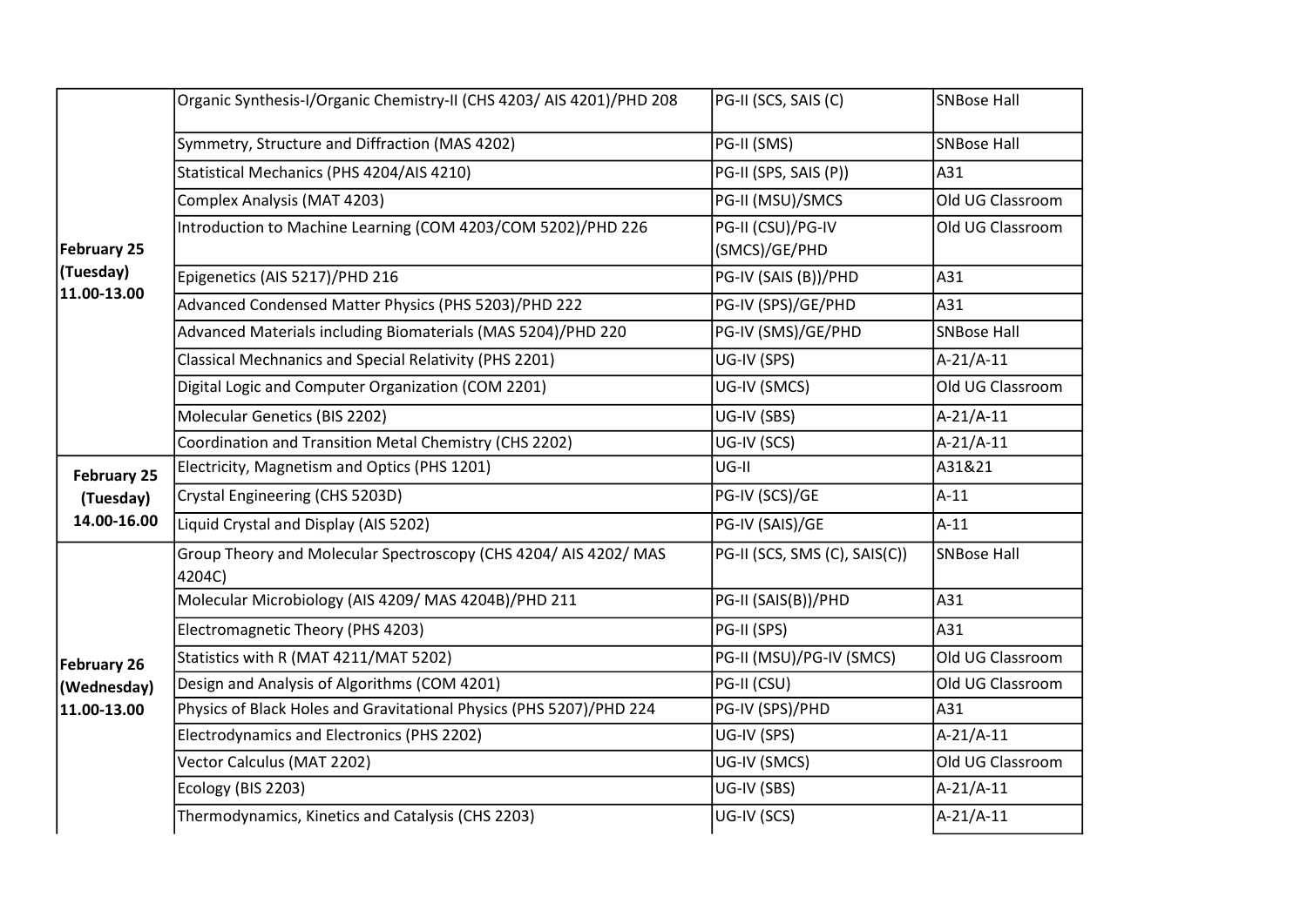| <b>February 25</b><br>(Tuesday)<br>11.00-13.00 | Organic Synthesis-I/Organic Chemistry-II (CHS 4203/ AIS 4201)/PHD 208    | PG-II (SCS, SAIS (C)               | SNBose Hall        |
|------------------------------------------------|--------------------------------------------------------------------------|------------------------------------|--------------------|
|                                                | Symmetry, Structure and Diffraction (MAS 4202)                           | PG-II (SMS)                        | <b>SNBose Hall</b> |
|                                                | Statistical Mechanics (PHS 4204/AIS 4210)                                | PG-II (SPS, SAIS (P))              | A31                |
|                                                | Complex Analysis (MAT 4203)                                              | PG-II (MSU)/SMCS                   | Old UG Classroom   |
|                                                | Introduction to Machine Learning (COM 4203/COM 5202)/PHD 226             | PG-II (CSU)/PG-IV<br>(SMCS)/GE/PHD | Old UG Classroom   |
|                                                | Epigenetics (AIS 5217)/PHD 216                                           | PG-IV (SAIS (B))/PHD               | A31                |
|                                                | Advanced Condensed Matter Physics (PHS 5203)/PHD 222                     | PG-IV (SPS)/GE/PHD                 | A31                |
|                                                | Advanced Materials including Biomaterials (MAS 5204)/PHD 220             | PG-IV (SMS)/GE/PHD                 | <b>SNBose Hall</b> |
|                                                | Classical Mechnanics and Special Relativity (PHS 2201)                   | UG-IV (SPS)                        | A-21/A-11          |
|                                                | Digital Logic and Computer Organization (COM 2201)                       | UG-IV (SMCS)                       | Old UG Classroom   |
|                                                | Molecular Genetics (BIS 2202)                                            | UG-IV (SBS)                        | $A-21/A-11$        |
|                                                | Coordination and Transition Metal Chemistry (CHS 2202)                   | UG-IV (SCS)                        | $A-21/A-11$        |
| <b>February 25</b>                             | Electricity, Magnetism and Optics (PHS 1201)                             | UG-II                              | A31&21             |
| (Tuesday)                                      | Crystal Engineering (CHS 5203D)                                          | PG-IV (SCS)/GE                     | $A-11$             |
| 14.00-16.00                                    | Liquid Crystal and Display (AIS 5202)                                    | PG-IV (SAIS)/GE                    | $A-11$             |
|                                                | Group Theory and Molecular Spectroscopy (CHS 4204/AIS 4202/MAS<br>4204C) | PG-II (SCS, SMS (C), SAIS(C))      | <b>SNBose Hall</b> |
|                                                | Molecular Microbiology (AIS 4209/ MAS 4204B)/PHD 211                     | PG-II (SAIS(B))/PHD                | A31                |
|                                                | Electromagnetic Theory (PHS 4203)                                        | PG-II (SPS)                        | A31                |
| February 26                                    | Statistics with R (MAT 4211/MAT 5202)                                    | PG-II (MSU)/PG-IV (SMCS)           | Old UG Classroom   |
| (Wednesday)<br>11.00-13.00                     | Design and Analysis of Algorithms (COM 4201)                             | PG-II (CSU)                        | Old UG Classroom   |
|                                                | Physics of Black Holes and Gravitational Physics (PHS 5207)/PHD 224      | PG-IV (SPS)/PHD                    | A31                |
|                                                | Electrodynamics and Electronics (PHS 2202)                               | UG-IV (SPS)                        | $A-21/A-11$        |
|                                                | Vector Calculus (MAT 2202)                                               | UG-IV (SMCS)                       | Old UG Classroom   |
|                                                | Ecology (BIS 2203)                                                       | UG-IV (SBS)                        | A-21/A-11          |
|                                                | Thermodynamics, Kinetics and Catalysis (CHS 2203)                        | UG-IV (SCS)                        | A-21/A-11          |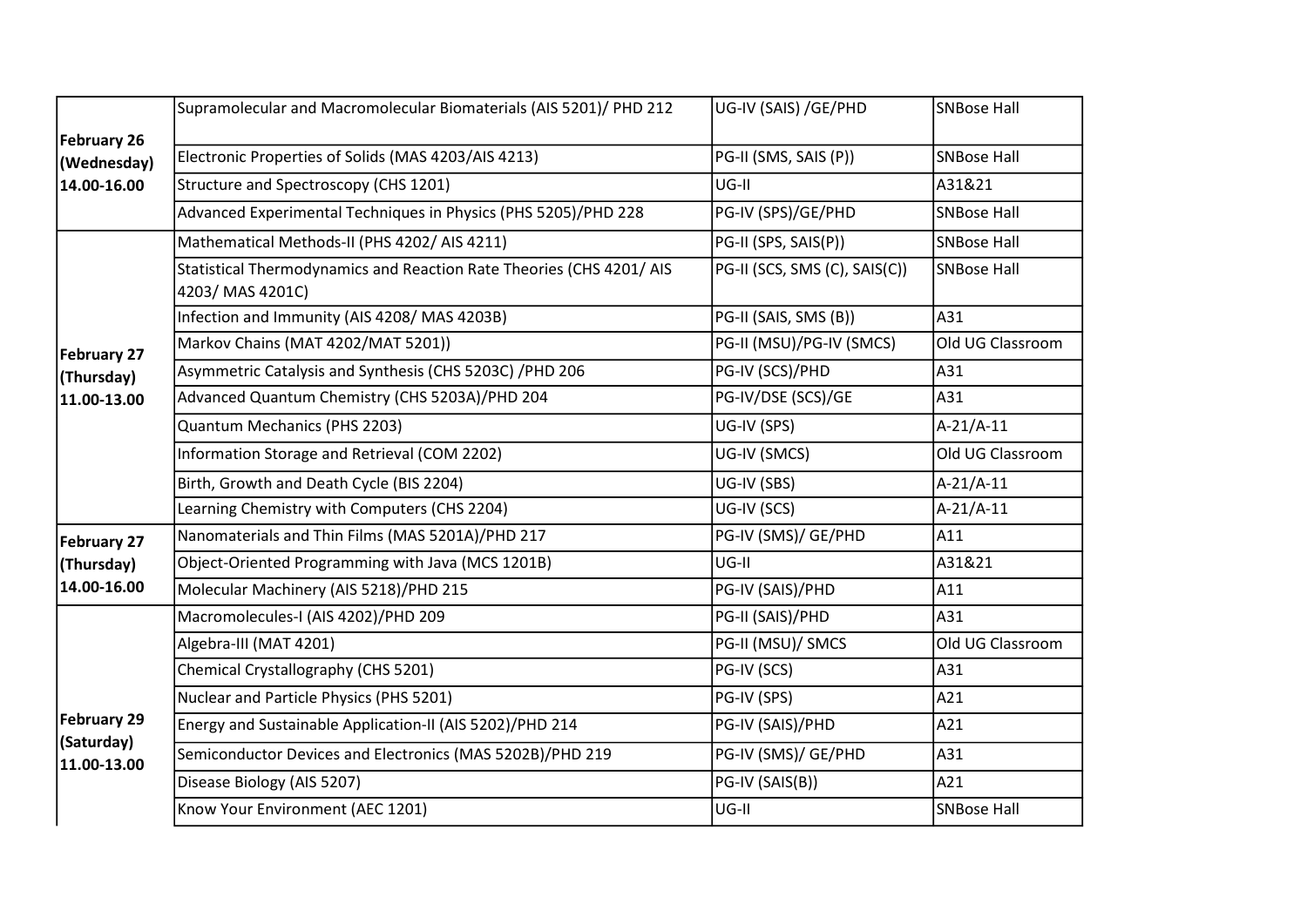|                                          | Supramolecular and Macromolecular Biomaterials (AIS 5201)/ PHD 212                       | UG-IV (SAIS) /GE/PHD          | SNBose Hall        |
|------------------------------------------|------------------------------------------------------------------------------------------|-------------------------------|--------------------|
| February 26<br>(Wednesday)               | Electronic Properties of Solids (MAS 4203/AIS 4213)                                      | PG-II (SMS, SAIS (P))         | <b>SNBose Hall</b> |
| 14.00-16.00                              | Structure and Spectroscopy (CHS 1201)                                                    | UG-II                         | A31&21             |
|                                          | Advanced Experimental Techniques in Physics (PHS 5205)/PHD 228                           | PG-IV (SPS)/GE/PHD            | <b>SNBose Hall</b> |
| February 27<br>(Thursday)<br>11.00-13.00 | Mathematical Methods-II (PHS 4202/AIS 4211)                                              | PG-II (SPS, SAIS(P))          | <b>SNBose Hall</b> |
|                                          | Statistical Thermodynamics and Reaction Rate Theories (CHS 4201/ AIS<br>4203/ MAS 4201C) | PG-II (SCS, SMS (C), SAIS(C)) | SNBose Hall        |
|                                          | Infection and Immunity (AIS 4208/MAS 4203B)                                              | PG-II (SAIS, SMS (B))         | A31                |
|                                          | Markov Chains (MAT 4202/MAT 5201))                                                       | PG-II (MSU)/PG-IV (SMCS)      | Old UG Classroom   |
|                                          | Asymmetric Catalysis and Synthesis (CHS 5203C) /PHD 206                                  | PG-IV (SCS)/PHD               | A31                |
|                                          | Advanced Quantum Chemistry (CHS 5203A)/PHD 204                                           | PG-IV/DSE (SCS)/GE            | A31                |
|                                          | Quantum Mechanics (PHS 2203)                                                             | UG-IV (SPS)                   | A-21/A-11          |
|                                          | Information Storage and Retrieval (COM 2202)                                             | UG-IV (SMCS)                  | Old UG Classroom   |
|                                          | Birth, Growth and Death Cycle (BIS 2204)                                                 | UG-IV (SBS)                   | A-21/A-11          |
|                                          | Learning Chemistry with Computers (CHS 2204)                                             | UG-IV (SCS)                   | A-21/A-11          |
| February 27                              | Nanomaterials and Thin Films (MAS 5201A)/PHD 217                                         | PG-IV (SMS)/ GE/PHD           | A11                |
| (Thursday)                               | Object-Oriented Programming with Java (MCS 1201B)                                        | UG-II                         | A31&21             |
| 14.00-16.00                              | Molecular Machinery (AIS 5218)/PHD 215                                                   | PG-IV (SAIS)/PHD              | A11                |
| February 29<br>(Saturday)<br>11.00-13.00 | Macromolecules-I (AIS 4202)/PHD 209                                                      | PG-II (SAIS)/PHD              | A31                |
|                                          | Algebra-III (MAT 4201)                                                                   | PG-II (MSU)/ SMCS             | Old UG Classroom   |
|                                          | Chemical Crystallography (CHS 5201)                                                      | PG-IV (SCS)                   | A31                |
|                                          | Nuclear and Particle Physics (PHS 5201)                                                  | PG-IV (SPS)                   | A21                |
|                                          | Energy and Sustainable Application-II (AIS 5202)/PHD 214                                 | PG-IV (SAIS)/PHD              | A21                |
|                                          | Semiconductor Devices and Electronics (MAS 5202B)/PHD 219                                | PG-IV (SMS)/ GE/PHD           | A31                |
|                                          | Disease Biology (AIS 5207)                                                               | PG-IV (SAIS(B))               | A21                |
|                                          | Know Your Environment (AEC 1201)                                                         | UG-II                         | SNBose Hall        |